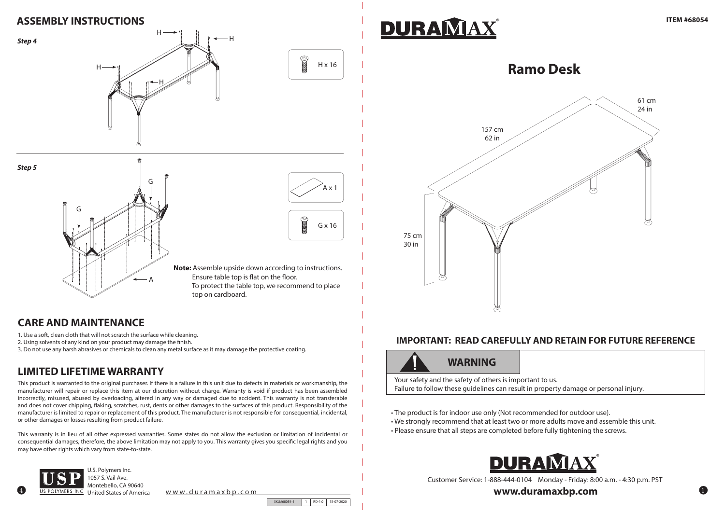### **CARE AND MAINTENANCE**

# **LIMITED LIFETIME WARRANTY**

- 1. Use a soft, clean cloth that will not scratch the surface while cleaning.
- 2. Using solvents of any kind on your product may damage the finish.
- 3. Do not use any harsh abrasives or chemicals to clean any metal surface as it may damage the protective coating.

This product is warranted to the original purchaser. If there is a failure in this unit due to defects in materials or workmanship, the manufacturer will repair or replace this item at our discretion without charge. Warranty is void if product has been assembled incorrectly, misused, abused by overloading, altered in any way or damaged due to accident. This warranty is not transferable and does not cover chipping, flaking, scratches, rust, dents or other damages to the surfaces of this product. Responsibility of the manufacturer is limited to repair or replacement of this product. The manufacturer is not responsible for consequential, incidental, or other damages or losses resulting from product failure.

This warranty is in lieu of all other expressed warranties. Some states do not allow the exclusion or limitation of incidental or consequential damages, therefore, the above limitation may not apply to you. This warranty gives you specific legal rights and you may have other rights which vary from state-to-state.

4



1057 S. Vail Ave. Montebello, CA 90640

United States of America www.duramaxbp.com

SKU#68054-1 1 RD-1.0 15-07-2020



## **ASSEMBLY INSTRUCTIONS**

Customer Service: 1-888-444-0104 Monday - Friday: 8:00 a.m. - 4:30 p.m. PST

www.duramaxbp.com

## **IMPORTANT: READ CAREFULLY AND RETAIN FOR FUTURE REFERENCE**

# **WARNING**

Your safety and the safety of others is important to us. Failure to follow these guidelines can result in property damage or personal injury.

- The product is for indoor use only (Not recommended for outdoor use).
- We strongly recommend that at least two or more adults move and assemble this unit.
- Please ensure that all steps are completed before fully tightening the screws.